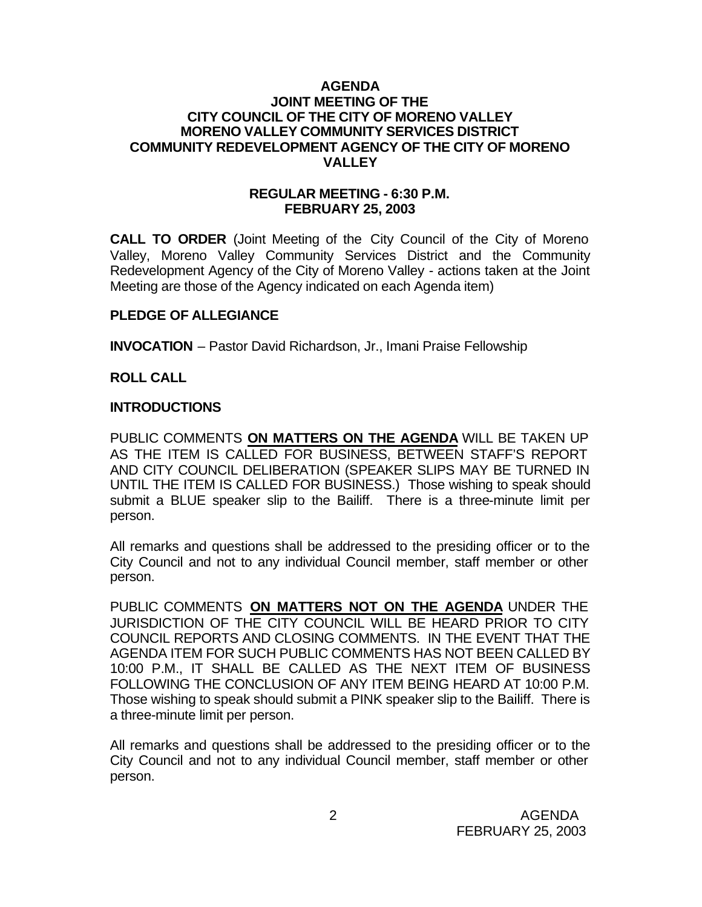## **AGENDA JOINT MEETING OF THE CITY COUNCIL OF THE CITY OF MORENO VALLEY MORENO VALLEY COMMUNITY SERVICES DISTRICT COMMUNITY REDEVELOPMENT AGENCY OF THE CITY OF MORENO VALLEY**

## **REGULAR MEETING - 6:30 P.M. FEBRUARY 25, 2003**

**CALL TO ORDER** (Joint Meeting of the City Council of the City of Moreno Valley, Moreno Valley Community Services District and the Community Redevelopment Agency of the City of Moreno Valley - actions taken at the Joint Meeting are those of the Agency indicated on each Agenda item)

# **PLEDGE OF ALLEGIANCE**

**INVOCATION** – Pastor David Richardson, Jr., Imani Praise Fellowship

# **ROLL CALL**

# **INTRODUCTIONS**

PUBLIC COMMENTS **ON MATTERS ON THE AGENDA** WILL BE TAKEN UP AS THE ITEM IS CALLED FOR BUSINESS, BETWEEN STAFF'S REPORT AND CITY COUNCIL DELIBERATION (SPEAKER SLIPS MAY BE TURNED IN UNTIL THE ITEM IS CALLED FOR BUSINESS.) Those wishing to speak should submit a BLUE speaker slip to the Bailiff. There is a three-minute limit per person.

All remarks and questions shall be addressed to the presiding officer or to the City Council and not to any individual Council member, staff member or other person.

PUBLIC COMMENTS **ON MATTERS NOT ON THE AGENDA** UNDER THE JURISDICTION OF THE CITY COUNCIL WILL BE HEARD PRIOR TO CITY COUNCIL REPORTS AND CLOSING COMMENTS. IN THE EVENT THAT THE AGENDA ITEM FOR SUCH PUBLIC COMMENTS HAS NOT BEEN CALLED BY 10:00 P.M., IT SHALL BE CALLED AS THE NEXT ITEM OF BUSINESS FOLLOWING THE CONCLUSION OF ANY ITEM BEING HEARD AT 10:00 P.M. Those wishing to speak should submit a PINK speaker slip to the Bailiff. There is a three-minute limit per person.

All remarks and questions shall be addressed to the presiding officer or to the City Council and not to any individual Council member, staff member or other person.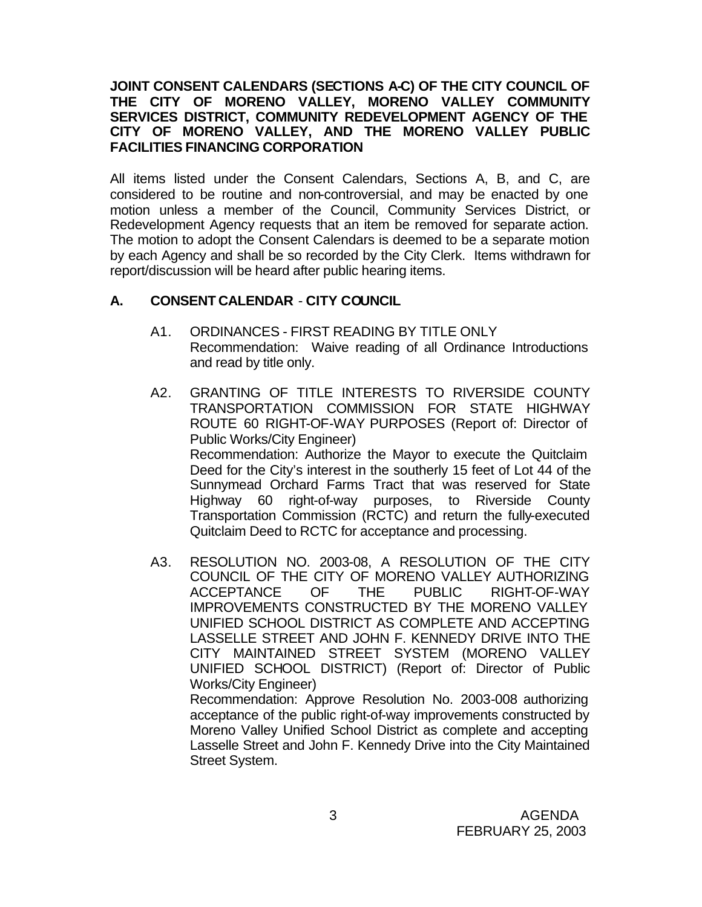# **JOINT CONSENT CALENDARS (SECTIONS A-C) OF THE CITY COUNCIL OF THE CITY OF MORENO VALLEY, MORENO VALLEY COMMUNITY SERVICES DISTRICT, COMMUNITY REDEVELOPMENT AGENCY OF THE CITY OF MORENO VALLEY, AND THE MORENO VALLEY PUBLIC FACILITIES FINANCING CORPORATION**

All items listed under the Consent Calendars, Sections A, B, and C, are considered to be routine and non-controversial, and may be enacted by one motion unless a member of the Council, Community Services District, or Redevelopment Agency requests that an item be removed for separate action. The motion to adopt the Consent Calendars is deemed to be a separate motion by each Agency and shall be so recorded by the City Clerk. Items withdrawn for report/discussion will be heard after public hearing items.

# **A. CONSENT CALENDAR** - **CITY COUNCIL**

- A1. ORDINANCES FIRST READING BY TITLE ONLY Recommendation: Waive reading of all Ordinance Introductions and read by title only.
- A2. GRANTING OF TITLE INTERESTS TO RIVERSIDE COUNTY TRANSPORTATION COMMISSION FOR STATE HIGHWAY ROUTE 60 RIGHT-OF-WAY PURPOSES (Report of: Director of Public Works/City Engineer) Recommendation: Authorize the Mayor to execute the Quitclaim Deed for the City's interest in the southerly 15 feet of Lot 44 of the Sunnymead Orchard Farms Tract that was reserved for State Highway 60 right-of-way purposes, to Riverside County Transportation Commission (RCTC) and return the fully-executed Quitclaim Deed to RCTC for acceptance and processing.
- A3. RESOLUTION NO. 2003-08, A RESOLUTION OF THE CITY COUNCIL OF THE CITY OF MORENO VALLEY AUTHORIZING ACCEPTANCE OF THE PUBLIC RIGHT-OF-WAY IMPROVEMENTS CONSTRUCTED BY THE MORENO VALLEY UNIFIED SCHOOL DISTRICT AS COMPLETE AND ACCEPTING LASSELLE STREET AND JOHN F. KENNEDY DRIVE INTO THE CITY MAINTAINED STREET SYSTEM (MORENO VALLEY UNIFIED SCHOOL DISTRICT) (Report of: Director of Public Works/City Engineer) Recommendation: Approve Resolution No. 2003-008 authorizing

acceptance of the public right-of-way improvements constructed by Moreno Valley Unified School District as complete and accepting Lasselle Street and John F. Kennedy Drive into the City Maintained Street System.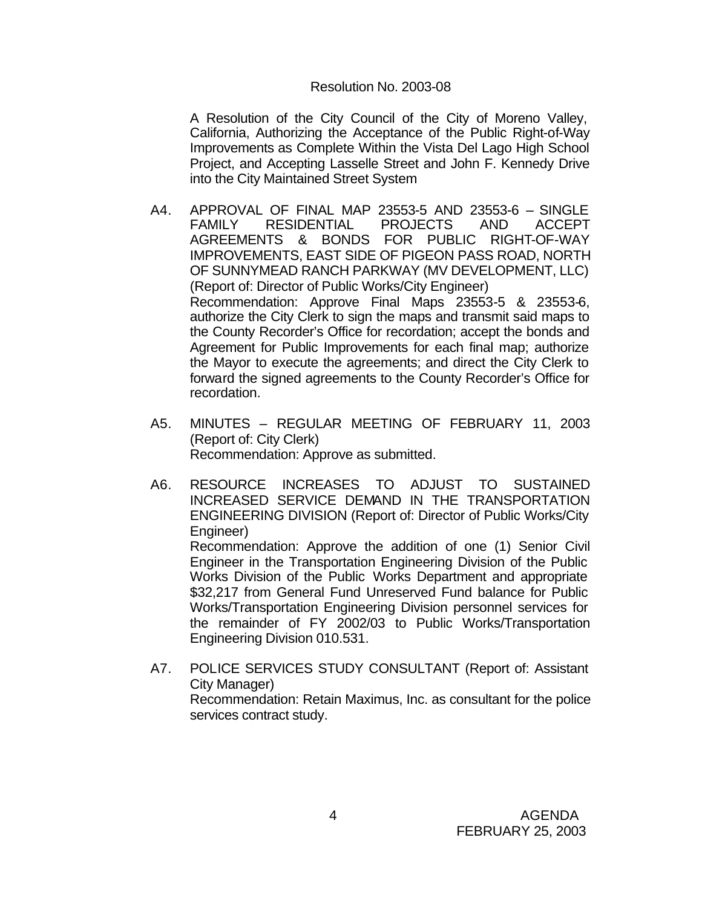## Resolution No. 2003-08

A Resolution of the City Council of the City of Moreno Valley, California, Authorizing the Acceptance of the Public Right-of-Way Improvements as Complete Within the Vista Del Lago High School Project, and Accepting Lasselle Street and John F. Kennedy Drive into the City Maintained Street System

- A4. APPROVAL OF FINAL MAP 23553-5 AND 23553-6 SINGLE FAMILY RESIDENTIAL PROJECTS AND ACCEPT AGREEMENTS & BONDS FOR PUBLIC RIGHT-OF-WAY IMPROVEMENTS, EAST SIDE OF PIGEON PASS ROAD, NORTH OF SUNNYMEAD RANCH PARKWAY (MV DEVELOPMENT, LLC) (Report of: Director of Public Works/City Engineer) Recommendation: Approve Final Maps 23553-5 & 23553-6, authorize the City Clerk to sign the maps and transmit said maps to the County Recorder's Office for recordation; accept the bonds and Agreement for Public Improvements for each final map; authorize the Mayor to execute the agreements; and direct the City Clerk to forward the signed agreements to the County Recorder's Office for recordation.
- A5. MINUTES REGULAR MEETING OF FEBRUARY 11, 2003 (Report of: City Clerk) Recommendation: Approve as submitted.
- A6. RESOURCE INCREASES TO ADJUST TO SUSTAINED INCREASED SERVICE DEMAND IN THE TRANSPORTATION ENGINEERING DIVISION (Report of: Director of Public Works/City Engineer) Recommendation: Approve the addition of one (1) Senior Civil Engineer in the Transportation Engineering Division of the Public Works Division of the Public Works Department and appropriate

\$32,217 from General Fund Unreserved Fund balance for Public Works/Transportation Engineering Division personnel services for the remainder of FY 2002/03 to Public Works/Transportation Engineering Division 010.531.

A7. POLICE SERVICES STUDY CONSULTANT (Report of: Assistant City Manager) Recommendation: Retain Maximus, Inc. as consultant for the police services contract study.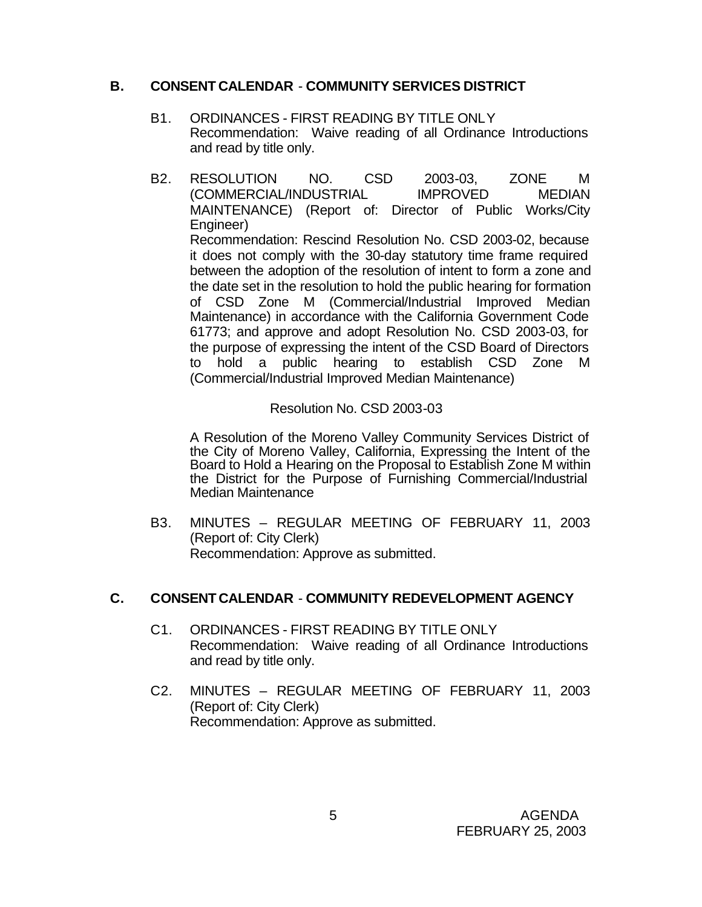# **B. CONSENT CALENDAR** - **COMMUNITY SERVICES DISTRICT**

- B1. ORDINANCES FIRST READING BY TITLE ONLY Recommendation: Waive reading of all Ordinance Introductions and read by title only.
- B2. RESOLUTION NO. CSD 2003-03, ZONE M (COMMERCIAL/INDUSTRIAL IMPROVED MEDIAN MAINTENANCE) (Report of: Director of Public Works/City Engineer) Recommendation: Rescind Resolution No. CSD 2003-02, because it does not comply with the 30-day statutory time frame required between the adoption of the resolution of intent to form a zone and the date set in the resolution to hold the public hearing for formation of CSD Zone M (Commercial/Industrial Improved Median Maintenance) in accordance with the California Government Code 61773; and approve and adopt Resolution No. CSD 2003-03, for the purpose of expressing the intent of the CSD Board of Directors to hold a public hearing to establish CSD Zone M (Commercial/Industrial Improved Median Maintenance)

# Resolution No. CSD 2003-03

A Resolution of the Moreno Valley Community Services District of the City of Moreno Valley, California, Expressing the Intent of the Board to Hold a Hearing on the Proposal to Establish Zone M within the District for the Purpose of Furnishing Commercial/Industrial Median Maintenance

B3. MINUTES – REGULAR MEETING OF FEBRUARY 11, 2003 (Report of: City Clerk) Recommendation: Approve as submitted.

# **C. CONSENT CALENDAR** - **COMMUNITY REDEVELOPMENT AGENCY**

- C1. ORDINANCES FIRST READING BY TITLE ONLY Recommendation: Waive reading of all Ordinance Introductions and read by title only.
- C2. MINUTES REGULAR MEETING OF FEBRUARY 11, 2003 (Report of: City Clerk) Recommendation: Approve as submitted.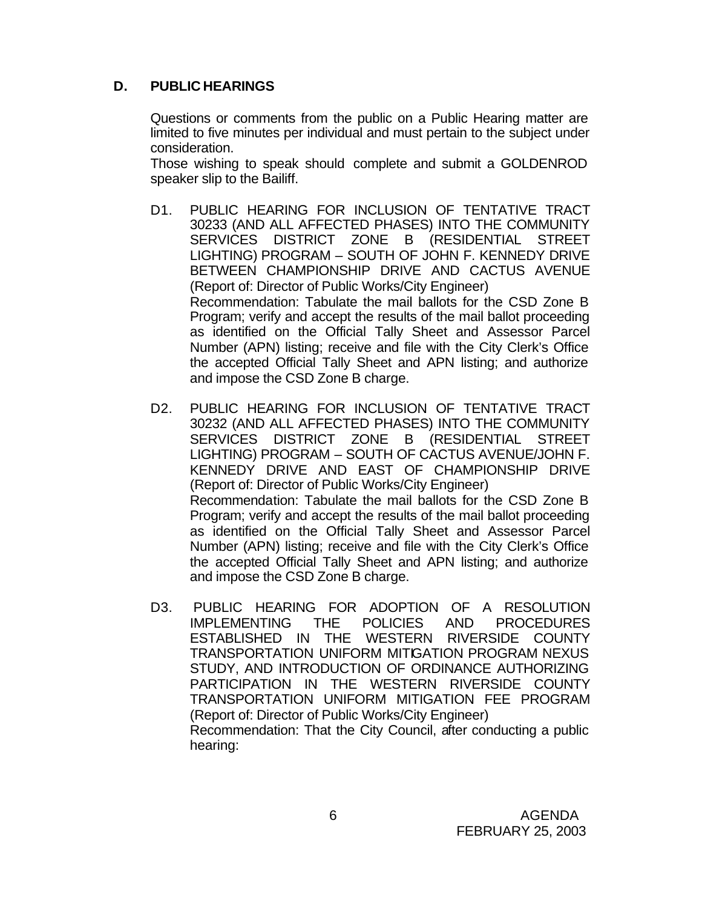# **D. PUBLIC HEARINGS**

Questions or comments from the public on a Public Hearing matter are limited to five minutes per individual and must pertain to the subject under consideration.

Those wishing to speak should complete and submit a GOLDENROD speaker slip to the Bailiff.

- D1. PUBLIC HEARING FOR INCLUSION OF TENTATIVE TRACT 30233 (AND ALL AFFECTED PHASES) INTO THE COMMUNITY SERVICES DISTRICT ZONE B (RESIDENTIAL STREET LIGHTING) PROGRAM – SOUTH OF JOHN F. KENNEDY DRIVE BETWEEN CHAMPIONSHIP DRIVE AND CACTUS AVENUE (Report of: Director of Public Works/City Engineer) Recommendation: Tabulate the mail ballots for the CSD Zone B Program; verify and accept the results of the mail ballot proceeding as identified on the Official Tally Sheet and Assessor Parcel Number (APN) listing; receive and file with the City Clerk's Office the accepted Official Tally Sheet and APN listing; and authorize and impose the CSD Zone B charge.
- D2. PUBLIC HEARING FOR INCLUSION OF TENTATIVE TRACT 30232 (AND ALL AFFECTED PHASES) INTO THE COMMUNITY SERVICES DISTRICT ZONE B (RESIDENTIAL STREET LIGHTING) PROGRAM – SOUTH OF CACTUS AVENUE/JOHN F. KENNEDY DRIVE AND EAST OF CHAMPIONSHIP DRIVE (Report of: Director of Public Works/City Engineer) Recommendation: Tabulate the mail ballots for the CSD Zone B Program; verify and accept the results of the mail ballot proceeding as identified on the Official Tally Sheet and Assessor Parcel Number (APN) listing; receive and file with the City Clerk's Office the accepted Official Tally Sheet and APN listing; and authorize and impose the CSD Zone B charge.
- D3. PUBLIC HEARING FOR ADOPTION OF A RESOLUTION IMPLEMENTING THE POLICIES AND PROCEDURES ESTABLISHED IN THE WESTERN RIVERSIDE COUNTY TRANSPORTATION UNIFORM MITIGATION PROGRAM NEXUS STUDY, AND INTRODUCTION OF ORDINANCE AUTHORIZING PARTICIPATION IN THE WESTERN RIVERSIDE COUNTY TRANSPORTATION UNIFORM MITIGATION FEE PROGRAM (Report of: Director of Public Works/City Engineer) Recommendation: That the City Council, after conducting a public hearing: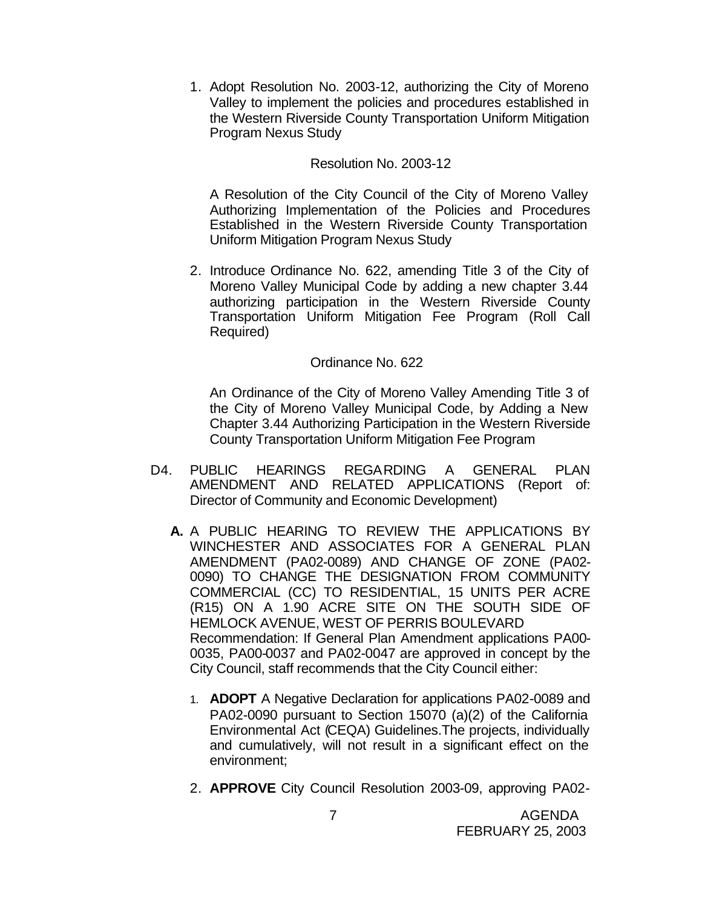1. Adopt Resolution No. 2003-12, authorizing the City of Moreno Valley to implement the policies and procedures established in the Western Riverside County Transportation Uniform Mitigation Program Nexus Study

# Resolution No. 2003-12

A Resolution of the City Council of the City of Moreno Valley Authorizing Implementation of the Policies and Procedures Established in the Western Riverside County Transportation Uniform Mitigation Program Nexus Study

2. Introduce Ordinance No. 622, amending Title 3 of the City of Moreno Valley Municipal Code by adding a new chapter 3.44 authorizing participation in the Western Riverside County Transportation Uniform Mitigation Fee Program (Roll Call Required)

## Ordinance No. 622

An Ordinance of the City of Moreno Valley Amending Title 3 of the City of Moreno Valley Municipal Code, by Adding a New Chapter 3.44 Authorizing Participation in the Western Riverside County Transportation Uniform Mitigation Fee Program

- D4. PUBLIC HEARINGS REGARDING A GENERAL PLAN AMENDMENT AND RELATED APPLICATIONS (Report of: Director of Community and Economic Development)
	- **A.** A PUBLIC HEARING TO REVIEW THE APPLICATIONS BY WINCHESTER AND ASSOCIATES FOR A GENERAL PLAN AMENDMENT (PA02-0089) AND CHANGE OF ZONE (PA02- 0090) TO CHANGE THE DESIGNATION FROM COMMUNITY COMMERCIAL (CC) TO RESIDENTIAL, 15 UNITS PER ACRE (R15) ON A 1.90 ACRE SITE ON THE SOUTH SIDE OF HEMLOCK AVENUE, WEST OF PERRIS BOULEVARD Recommendation: If General Plan Amendment applications PA00- 0035, PA00-0037 and PA02-0047 are approved in concept by the City Council, staff recommends that the City Council either:
		- 1. **ADOPT** A Negative Declaration for applications PA02-0089 and PA02-0090 pursuant to Section 15070 (a)(2) of the California Environmental Act (CEQA) Guidelines.The projects, individually and cumulatively, will not result in a significant effect on the environment;
		- 2. **APPROVE** City Council Resolution 2003-09, approving PA02-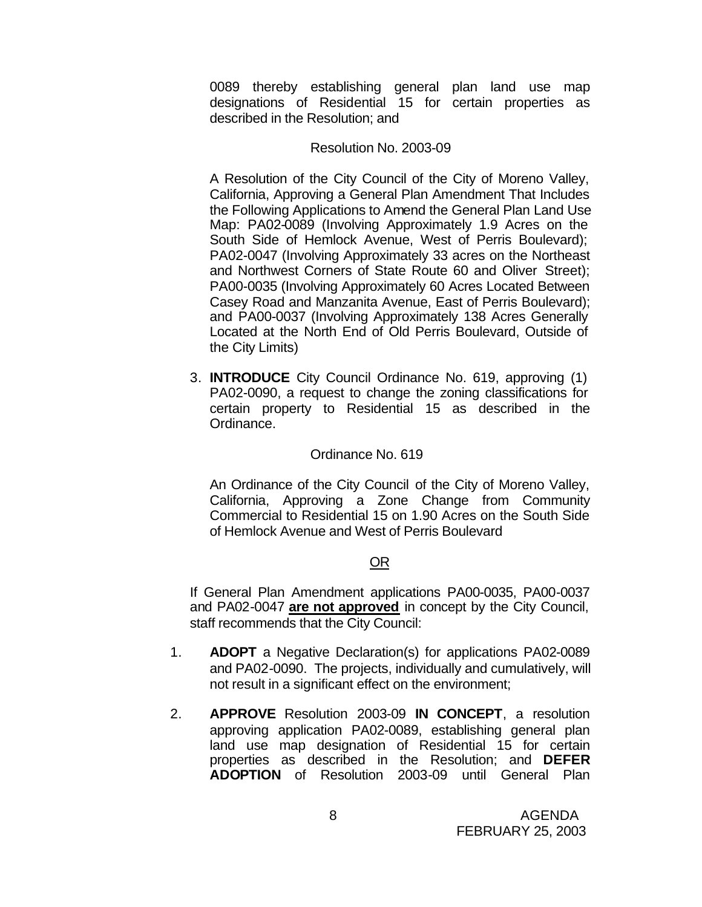0089 thereby establishing general plan land use map designations of Residential 15 for certain properties as described in the Resolution; and

#### Resolution No. 2003-09

A Resolution of the City Council of the City of Moreno Valley, California, Approving a General Plan Amendment That Includes the Following Applications to Amend the General Plan Land Use Map: PA02-0089 (Involving Approximately 1.9 Acres on the South Side of Hemlock Avenue, West of Perris Boulevard); PA02-0047 (Involving Approximately 33 acres on the Northeast and Northwest Corners of State Route 60 and Oliver Street); PA00-0035 (Involving Approximately 60 Acres Located Between Casey Road and Manzanita Avenue, East of Perris Boulevard); and PA00-0037 (Involving Approximately 138 Acres Generally Located at the North End of Old Perris Boulevard, Outside of the City Limits)

3. **INTRODUCE** City Council Ordinance No. 619, approving (1) PA02-0090, a request to change the zoning classifications for certain property to Residential 15 as described in the Ordinance.

#### Ordinance No. 619

An Ordinance of the City Council of the City of Moreno Valley, California, Approving a Zone Change from Community Commercial to Residential 15 on 1.90 Acres on the South Side of Hemlock Avenue and West of Perris Boulevard

## OR

If General Plan Amendment applications PA00-0035, PA00-0037 and PA02-0047 **are not approved** in concept by the City Council, staff recommends that the City Council:

- 1. **ADOPT** a Negative Declaration(s) for applications PA02-0089 and PA02-0090. The projects, individually and cumulatively, will not result in a significant effect on the environment;
- 2. **APPROVE** Resolution 2003-09 **IN CONCEPT**, a resolution approving application PA02-0089, establishing general plan land use map designation of Residential 15 for certain properties as described in the Resolution; and **DEFER ADOPTION** of Resolution 2003-09 until General Plan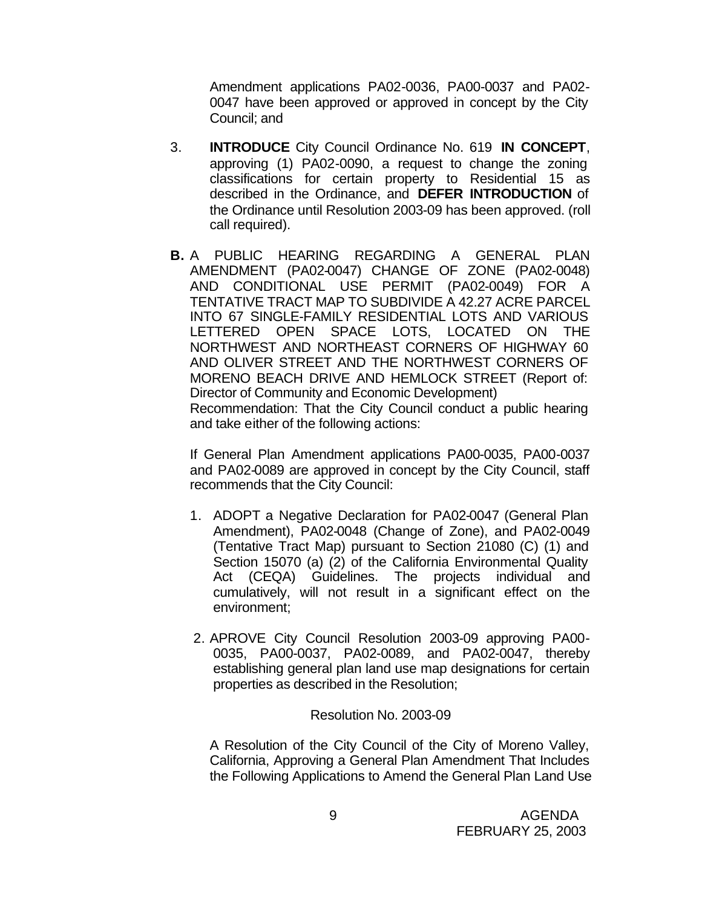Amendment applications PA02-0036, PA00-0037 and PA02- 0047 have been approved or approved in concept by the City Council; and

- 3. **INTRODUCE** City Council Ordinance No. 619 **IN CONCEPT**, approving (1) PA02-0090, a request to change the zoning classifications for certain property to Residential 15 as described in the Ordinance, and **DEFER INTRODUCTION** of the Ordinance until Resolution 2003-09 has been approved. (roll call required).
- **B.** A PUBLIC HEARING REGARDING A GENERAL PLAN AMENDMENT (PA02-0047) CHANGE OF ZONE (PA02-0048) AND CONDITIONAL USE PERMIT (PA02-0049) FOR A TENTATIVE TRACT MAP TO SUBDIVIDE A 42.27 ACRE PARCEL INTO 67 SINGLE-FAMILY RESIDENTIAL LOTS AND VARIOUS LETTERED OPEN SPACE LOTS, LOCATED ON THE NORTHWEST AND NORTHEAST CORNERS OF HIGHWAY 60 AND OLIVER STREET AND THE NORTHWEST CORNERS OF MORENO BEACH DRIVE AND HEMLOCK STREET (Report of: Director of Community and Economic Development)

Recommendation: That the City Council conduct a public hearing and take either of the following actions:

If General Plan Amendment applications PA00-0035, PA00-0037 and PA02-0089 are approved in concept by the City Council, staff recommends that the City Council:

- 1. ADOPT a Negative Declaration for PA02-0047 (General Plan Amendment), PA02-0048 (Change of Zone), and PA02-0049 (Tentative Tract Map) pursuant to Section 21080 (C) (1) and Section 15070 (a) (2) of the California Environmental Quality Act (CEQA) Guidelines. The projects individual and cumulatively, will not result in a significant effect on the environment;
- 2. APROVE City Council Resolution 2003-09 approving PA00- 0035, PA00-0037, PA02-0089, and PA02-0047, thereby establishing general plan land use map designations for certain properties as described in the Resolution;

Resolution No. 2003-09

A Resolution of the City Council of the City of Moreno Valley, California, Approving a General Plan Amendment That Includes the Following Applications to Amend the General Plan Land Use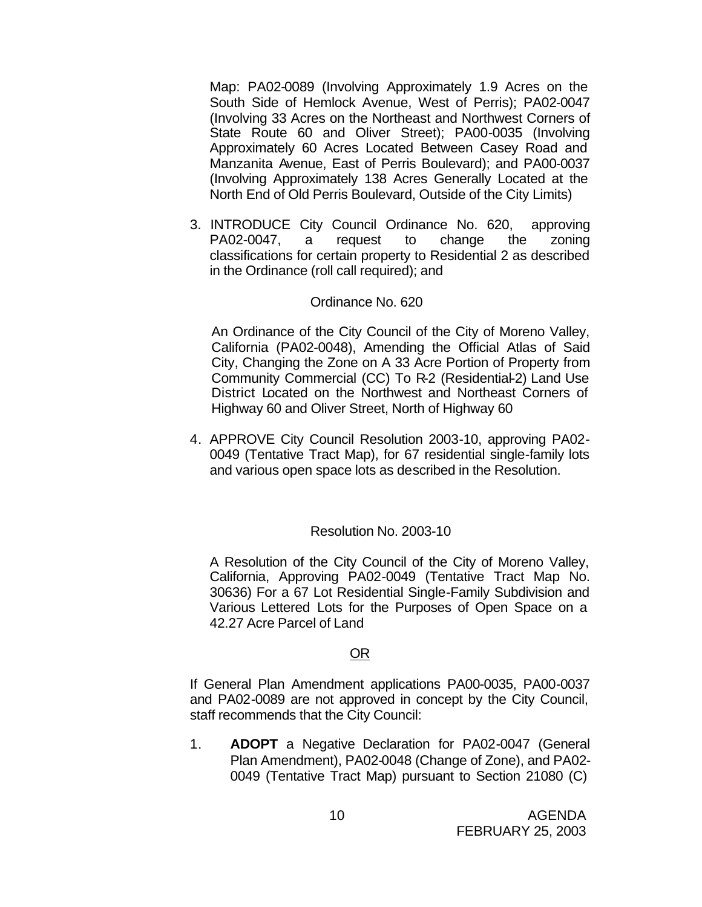Map: PA02-0089 (Involving Approximately 1.9 Acres on the South Side of Hemlock Avenue, West of Perris); PA02-0047 (Involving 33 Acres on the Northeast and Northwest Corners of State Route 60 and Oliver Street); PA00-0035 (Involving Approximately 60 Acres Located Between Casey Road and Manzanita Avenue, East of Perris Boulevard); and PA00-0037 (Involving Approximately 138 Acres Generally Located at the North End of Old Perris Boulevard, Outside of the City Limits)

3. INTRODUCE City Council Ordinance No. 620, approving PA02-0047, a request to change the zoning classifications for certain property to Residential 2 as described in the Ordinance (roll call required); and

#### Ordinance No. 620

An Ordinance of the City Council of the City of Moreno Valley, California (PA02-0048), Amending the Official Atlas of Said City, Changing the Zone on A 33 Acre Portion of Property from Community Commercial (CC) To R-2 (Residential-2) Land Use District Located on the Northwest and Northeast Corners of Highway 60 and Oliver Street, North of Highway 60

4. APPROVE City Council Resolution 2003-10, approving PA02- 0049 (Tentative Tract Map), for 67 residential single-family lots and various open space lots as described in the Resolution.

#### Resolution No. 2003-10

A Resolution of the City Council of the City of Moreno Valley, California, Approving PA02-0049 (Tentative Tract Map No. 30636) For a 67 Lot Residential Single-Family Subdivision and Various Lettered Lots for the Purposes of Open Space on a 42.27 Acre Parcel of Land

#### OR

If General Plan Amendment applications PA00-0035, PA00-0037 and PA02-0089 are not approved in concept by the City Council, staff recommends that the City Council:

1. **ADOPT** a Negative Declaration for PA02-0047 (General Plan Amendment), PA02-0048 (Change of Zone), and PA02- 0049 (Tentative Tract Map) pursuant to Section 21080 (C)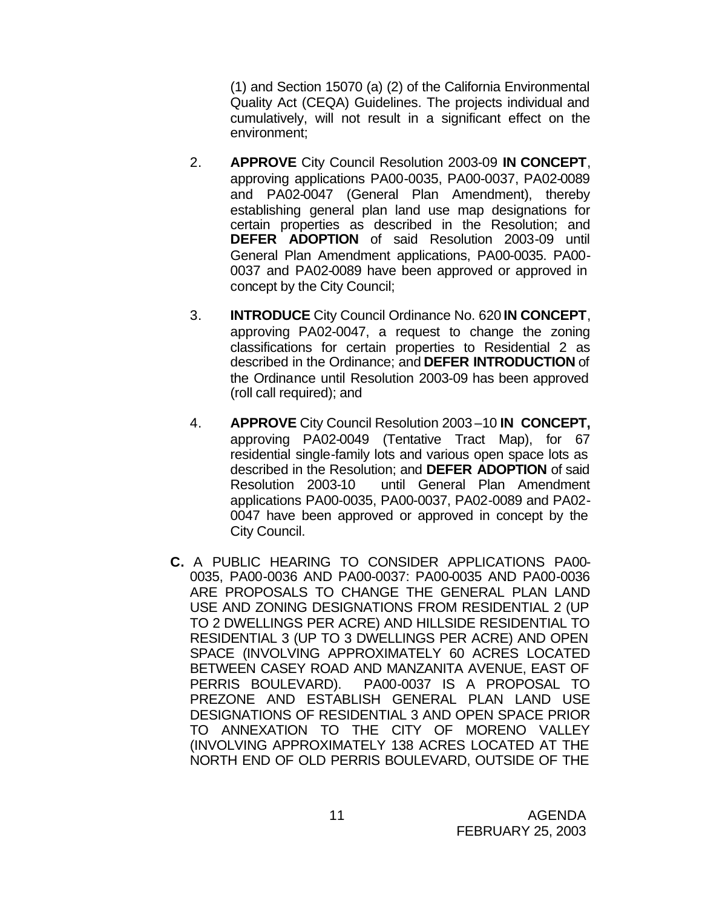(1) and Section 15070 (a) (2) of the California Environmental Quality Act (CEQA) Guidelines. The projects individual and cumulatively, will not result in a significant effect on the environment;

- 2. **APPROVE** City Council Resolution 2003-09 **IN CONCEPT**, approving applications PA00-0035, PA00-0037, PA02-0089 and PA02-0047 (General Plan Amendment), thereby establishing general plan land use map designations for certain properties as described in the Resolution; and **DEFER ADOPTION** of said Resolution 2003-09 until General Plan Amendment applications, PA00-0035. PA00- 0037 and PA02-0089 have been approved or approved in concept by the City Council;
- 3. **INTRODUCE** City Council Ordinance No. 620 **IN CONCEPT**, approving PA02-0047, a request to change the zoning classifications for certain properties to Residential 2 as described in the Ordinance; and **DEFER INTRODUCTION** of the Ordinance until Resolution 2003-09 has been approved (roll call required); and
- 4. **APPROVE** City Council Resolution 2003 –10 **IN CONCEPT,**  approving PA02-0049 (Tentative Tract Map), for 67 residential single-family lots and various open space lots as described in the Resolution; and **DEFER ADOPTION** of said Resolution 2003-10 until General Plan Amendment applications PA00-0035, PA00-0037, PA02-0089 and PA02- 0047 have been approved or approved in concept by the City Council.
- **C.** A PUBLIC HEARING TO CONSIDER APPLICATIONS PA00- 0035, PA00-0036 AND PA00-0037: PA00-0035 AND PA00-0036 ARE PROPOSALS TO CHANGE THE GENERAL PLAN LAND USE AND ZONING DESIGNATIONS FROM RESIDENTIAL 2 (UP TO 2 DWELLINGS PER ACRE) AND HILLSIDE RESIDENTIAL TO RESIDENTIAL 3 (UP TO 3 DWELLINGS PER ACRE) AND OPEN SPACE (INVOLVING APPROXIMATELY 60 ACRES LOCATED BETWEEN CASEY ROAD AND MANZANITA AVENUE, EAST OF PERRIS BOULEVARD). PA00-0037 IS A PROPOSAL TO PREZONE AND ESTABLISH GENERAL PLAN LAND USE DESIGNATIONS OF RESIDENTIAL 3 AND OPEN SPACE PRIOR TO ANNEXATION TO THE CITY OF MORENO VALLEY (INVOLVING APPROXIMATELY 138 ACRES LOCATED AT THE NORTH END OF OLD PERRIS BOULEVARD, OUTSIDE OF THE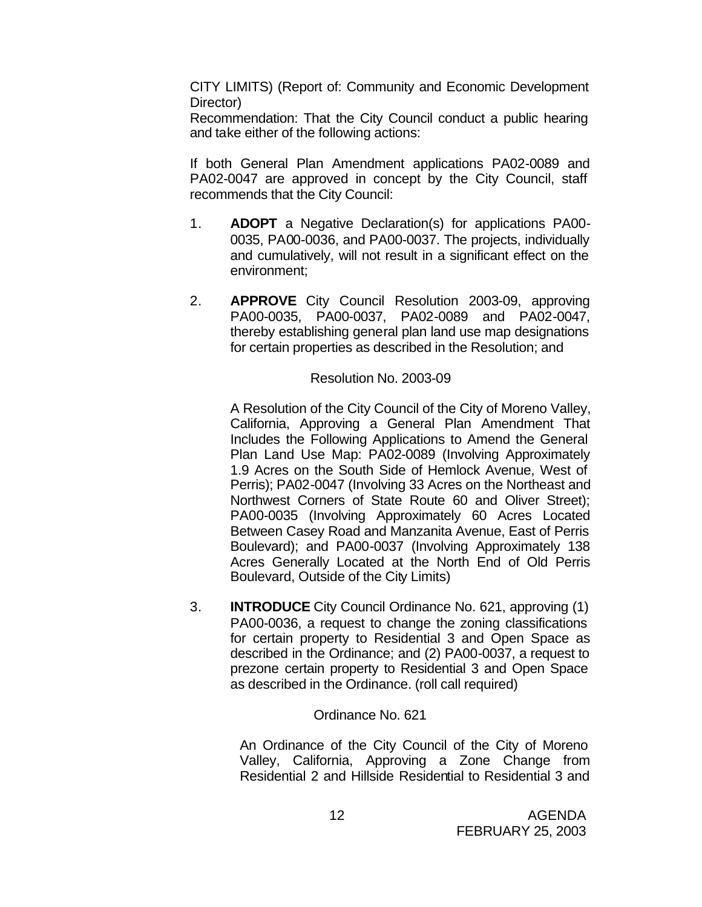CITY LIMITS) (Report of: Community and Economic Development Director)

Recommendation: That the City Council conduct a public hearing and take either of the following actions:

If both General Plan Amendment applications PA02-0089 and PA02-0047 are approved in concept by the City Council, staff recommends that the City Council:

- 1. **ADOPT** a Negative Declaration(s) for applications PA00- 0035, PA00-0036, and PA00-0037. The projects, individually and cumulatively, will not result in a significant effect on the environment;
- 2. **APPROVE** City Council Resolution 2003-09, approving PA00-0035, PA00-0037, PA02-0089 and PA02-0047, thereby establishing general plan land use map designations for certain properties as described in the Resolution; and

#### Resolution No. 2003-09

A Resolution of the City Council of the City of Moreno Valley, California, Approving a General Plan Amendment That Includes the Following Applications to Amend the General Plan Land Use Map: PA02-0089 (Involving Approximately 1.9 Acres on the South Side of Hemlock Avenue, West of Perris); PA02-0047 (Involving 33 Acres on the Northeast and Northwest Corners of State Route 60 and Oliver Street); PA00-0035 (Involving Approximately 60 Acres Located Between Casey Road and Manzanita Avenue, East of Perris Boulevard); and PA00-0037 (Involving Approximately 138 Acres Generally Located at the North End of Old Perris Boulevard, Outside of the City Limits)

3. **INTRODUCE** City Council Ordinance No. 621, approving (1) PA00-0036, a request to change the zoning classifications for certain property to Residential 3 and Open Space as described in the Ordinance; and (2) PA00-0037, a request to prezone certain property to Residential 3 and Open Space as described in the Ordinance. (roll call required)

## Ordinance No. 621

An Ordinance of the City Council of the City of Moreno Valley, California, Approving a Zone Change from Residential 2 and Hillside Residential to Residential 3 and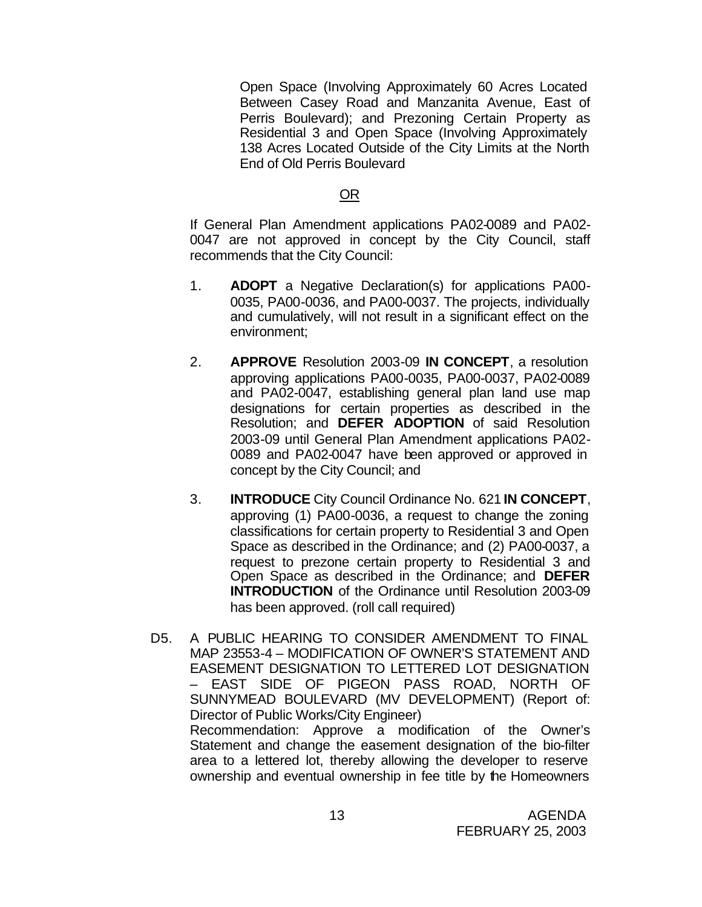Open Space (Involving Approximately 60 Acres Located Between Casey Road and Manzanita Avenue, East of Perris Boulevard); and Prezoning Certain Property as Residential 3 and Open Space (Involving Approximately 138 Acres Located Outside of the City Limits at the North End of Old Perris Boulevard

## OR

If General Plan Amendment applications PA02-0089 and PA02- 0047 are not approved in concept by the City Council, staff recommends that the City Council:

- 1. **ADOPT** a Negative Declaration(s) for applications PA00- 0035, PA00-0036, and PA00-0037. The projects, individually and cumulatively, will not result in a significant effect on the environment;
- 2. **APPROVE** Resolution 2003-09 **IN CONCEPT**, a resolution approving applications PA00-0035, PA00-0037, PA02-0089 and PA02-0047, establishing general plan land use map designations for certain properties as described in the Resolution; and **DEFER ADOPTION** of said Resolution 2003-09 until General Plan Amendment applications PA02- 0089 and PA02-0047 have been approved or approved in concept by the City Council; and
- 3. **INTRODUCE** City Council Ordinance No. 621 **IN CONCEPT**, approving (1) PA00-0036, a request to change the zoning classifications for certain property to Residential 3 and Open Space as described in the Ordinance; and (2) PA00-0037, a request to prezone certain property to Residential 3 and Open Space as described in the Ordinance; and **DEFER INTRODUCTION** of the Ordinance until Resolution 2003-09 has been approved. (roll call required)
- D5. A PUBLIC HEARING TO CONSIDER AMENDMENT TO FINAL MAP 23553-4 – MODIFICATION OF OWNER'S STATEMENT AND EASEMENT DESIGNATION TO LETTERED LOT DESIGNATION – EAST SIDE OF PIGEON PASS ROAD, NORTH OF SUNNYMEAD BOULEVARD (MV DEVELOPMENT) (Report of: Director of Public Works/City Engineer) Recommendation: Approve a modification of the Owner's Statement and change the easement designation of the bio-filter area to a lettered lot, thereby allowing the developer to reserve

ownership and eventual ownership in fee title by the Homeowners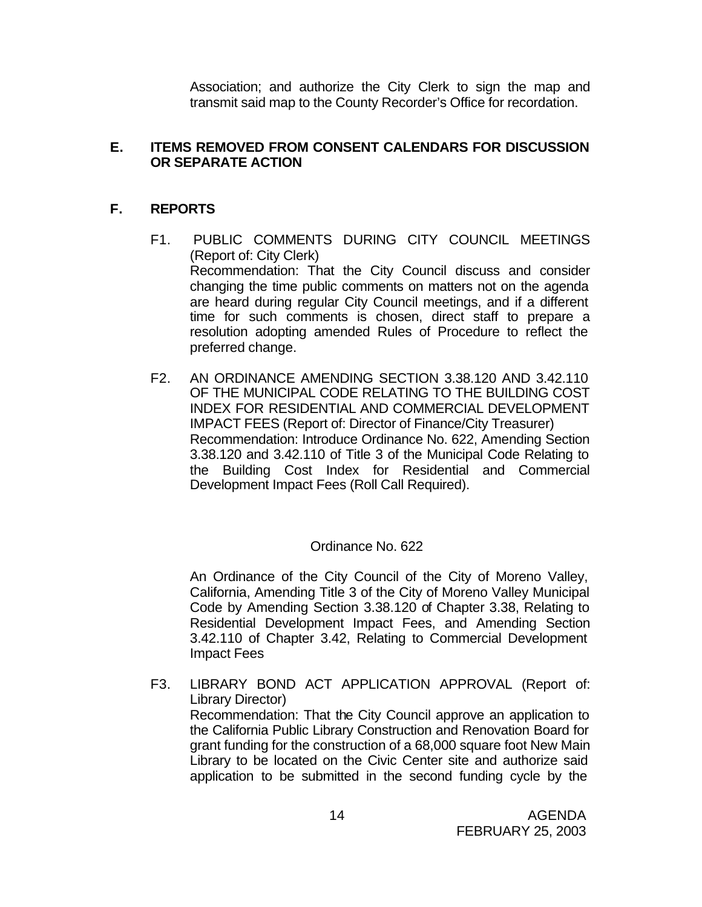Association; and authorize the City Clerk to sign the map and transmit said map to the County Recorder's Office for recordation.

# **E. ITEMS REMOVED FROM CONSENT CALENDARS FOR DISCUSSION OR SEPARATE ACTION**

# **F. REPORTS**

- F1. PUBLIC COMMENTS DURING CITY COUNCIL MEETINGS (Report of: City Clerk) Recommendation: That the City Council discuss and consider changing the time public comments on matters not on the agenda are heard during regular City Council meetings, and if a different time for such comments is chosen, direct staff to prepare a resolution adopting amended Rules of Procedure to reflect the preferred change.
- F2. AN ORDINANCE AMENDING SECTION 3.38.120 AND 3.42.110 OF THE MUNICIPAL CODE RELATING TO THE BUILDING COST INDEX FOR RESIDENTIAL AND COMMERCIAL DEVELOPMENT IMPACT FEES (Report of: Director of Finance/City Treasurer) Recommendation: Introduce Ordinance No. 622, Amending Section 3.38.120 and 3.42.110 of Title 3 of the Municipal Code Relating to the Building Cost Index for Residential and Commercial Development Impact Fees (Roll Call Required).

# Ordinance No. 622

An Ordinance of the City Council of the City of Moreno Valley, California, Amending Title 3 of the City of Moreno Valley Municipal Code by Amending Section 3.38.120 of Chapter 3.38, Relating to Residential Development Impact Fees, and Amending Section 3.42.110 of Chapter 3.42, Relating to Commercial Development Impact Fees

F3. LIBRARY BOND ACT APPLICATION APPROVAL (Report of: Library Director) Recommendation: That the City Council approve an application to the California Public Library Construction and Renovation Board for grant funding for the construction of a 68,000 square foot New Main Library to be located on the Civic Center site and authorize said application to be submitted in the second funding cycle by the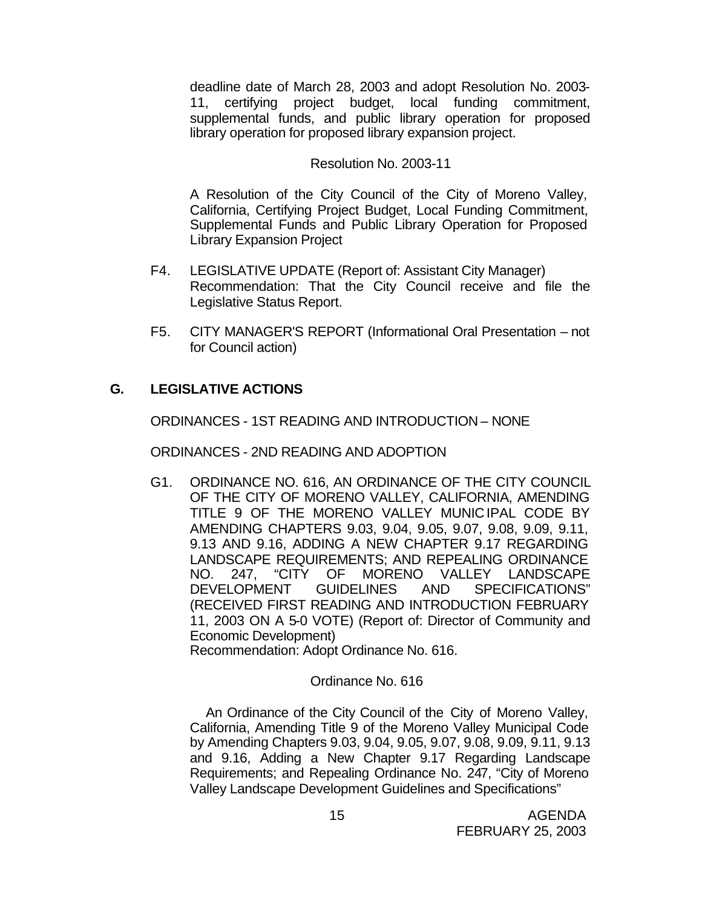deadline date of March 28, 2003 and adopt Resolution No. 2003- 11, certifying project budget, local funding commitment, supplemental funds, and public library operation for proposed library operation for proposed library expansion project.

## Resolution No. 2003-11

A Resolution of the City Council of the City of Moreno Valley, California, Certifying Project Budget, Local Funding Commitment, Supplemental Funds and Public Library Operation for Proposed Library Expansion Project

- F4. LEGISLATIVE UPDATE (Report of: Assistant City Manager) Recommendation: That the City Council receive and file the Legislative Status Report.
- F5. CITY MANAGER'S REPORT (Informational Oral Presentation not for Council action)

# **G. LEGISLATIVE ACTIONS**

ORDINANCES - 1ST READING AND INTRODUCTION – NONE

ORDINANCES - 2ND READING AND ADOPTION

G1. ORDINANCE NO. 616, AN ORDINANCE OF THE CITY COUNCIL OF THE CITY OF MORENO VALLEY, CALIFORNIA, AMENDING TITLE 9 OF THE MORENO VALLEY MUNICIPAL CODE BY AMENDING CHAPTERS 9.03, 9.04, 9.05, 9.07, 9.08, 9.09, 9.11, 9.13 AND 9.16, ADDING A NEW CHAPTER 9.17 REGARDING LANDSCAPE REQUIREMENTS; AND REPEALING ORDINANCE NO. 247, "CITY OF MORENO VALLEY LANDSCAPE DEVELOPMENT GUIDELINES AND SPECIFICATIONS" (RECEIVED FIRST READING AND INTRODUCTION FEBRUARY 11, 2003 ON A 5-0 VOTE) (Report of: Director of Community and Economic Development)

Recommendation: Adopt Ordinance No. 616.

### Ordinance No. 616

 An Ordinance of the City Council of the City of Moreno Valley, California, Amending Title 9 of the Moreno Valley Municipal Code by Amending Chapters 9.03, 9.04, 9.05, 9.07, 9.08, 9.09, 9.11, 9.13 and 9.16, Adding a New Chapter 9.17 Regarding Landscape Requirements; and Repealing Ordinance No. 247, "City of Moreno Valley Landscape Development Guidelines and Specifications"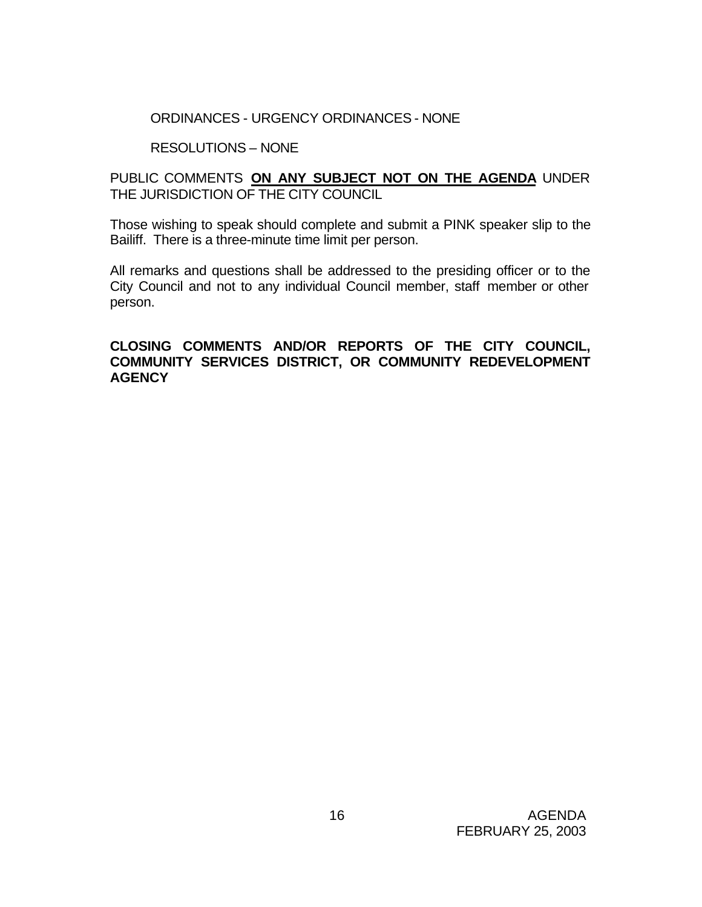# ORDINANCES - URGENCY ORDINANCES - NONE

# RESOLUTIONS – NONE

# PUBLIC COMMENTS **ON ANY SUBJECT NOT ON THE AGENDA** UNDER THE JURISDICTION OF THE CITY COUNCIL

Those wishing to speak should complete and submit a PINK speaker slip to the Bailiff. There is a three-minute time limit per person.

All remarks and questions shall be addressed to the presiding officer or to the City Council and not to any individual Council member, staff member or other person.

# **CLOSING COMMENTS AND/OR REPORTS OF THE CITY COUNCIL, COMMUNITY SERVICES DISTRICT, OR COMMUNITY REDEVELOPMENT AGENCY**